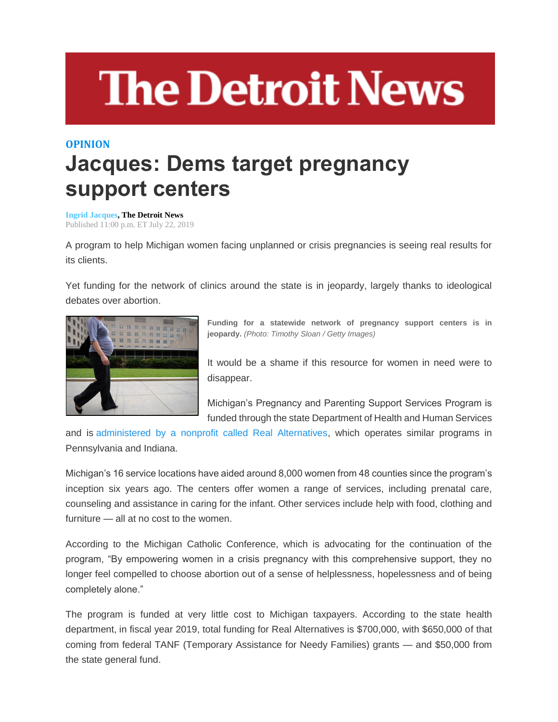## **The Detroit News**

## **OPINION Jacques: Dems target pregnancy support centers**

**[Ingrid Jacques,](http://www.detroitnews.com/staff/26553/ingrid-jacques/) The Detroit News** Published 11:00 p.m. ET July 22, 2019

A program to help Michigan women facing unplanned or crisis pregnancies is seeing real results for its clients.

Yet funding for the network of clinics around the state is in jeopardy, largely thanks to ideological debates over abortion.



**Funding for a statewide network of pregnancy support centers is in jeopardy.** *(Photo: Timothy Sloan / Getty Images)*

It would be a shame if this resource for women in need were to disappear.

Michigan's Pregnancy and Parenting Support Services Program is funded through the state Department of Health and Human Services

and is [administered by a nonprofit called Real Alternatives,](https://www.realalternatives.org/wp-content/uploads/2019/06/MI-Infographic-05.31.19.pdf) which operates similar programs in Pennsylvania and Indiana.

Michigan's 16 service locations have aided around 8,000 women from 48 counties since the program's inception six years ago. The centers offer women a range of services, including prenatal care, counseling and assistance in caring for the infant. Other services include help with food, clothing and furniture — all at no cost to the women.

According to the Michigan Catholic Conference, which is advocating for the continuation of the program, "By empowering women in a crisis pregnancy with this comprehensive support, they no longer feel compelled to choose abortion out of a sense of helplessness, hopelessness and of being completely alone."

The program is funded at very little cost to Michigan taxpayers. According to the state health department, in fiscal year 2019, total funding for Real Alternatives is \$700,000, with \$650,000 of that coming from federal TANF (Temporary Assistance for Needy Families) grants — and \$50,000 from the state general fund.